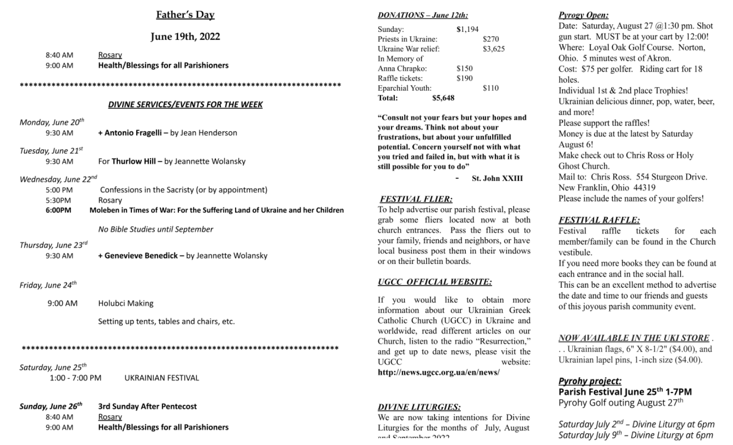### Father's Day

## June 19th, 2022

| 8:40 AM | Rosary                                       |
|---------|----------------------------------------------|
| 9:00 AM | <b>Health/Blessings for all Parishioners</b> |
|         |                                              |
|         | DIVINE SERVICES/EVENTS FOR THE WEEK          |
|         |                                              |

Monday, June 20 + Antonio Fragelli - by Jean Henderson 9:30 AM Tuesday, June 21st For Thurlow Hill - by Jeannette Wolansky 9:30 AM Wednesday, June 22nd 5:00 PM Confessions in the Sacristy (or by appointment) 5:30PM Rosary 6:00PM Moleben in Times of War: For the Suffering Land of Ukraine and her Children No Bible Studies until September Thursday, June 23rd + Genevieve Benedick - by Jeannette Wolansky 9:30 AM Friday, June 24<sup>th</sup> 9:00 AM Holubci Making Setting up tents, tables and chairs, etc. Saturday, June 25<sup>th</sup>

1:00 - 7:00 PM UKRAINIAN FESTIVAL

Sunday, June 26<sup>th</sup> 3rd Sunday After Pentecost 8:40 AM Rosary **Health/Blessings for all Parishioners** 9:00 AM

#### **DONATIONS** - June 12th:

| Priests in Ukraine:<br>\$270   |  |
|--------------------------------|--|
| Jkraine War relief:<br>\$3,625 |  |
| n Memory of                    |  |
| Anna Chrapko:<br>\$150         |  |
| ₹affle tickets:<br>\$190       |  |
| Eparchial Youth:<br>\$110      |  |
| [`otal:<br>\$5,648             |  |

"Consult not your fears but your hopes and your dreams. Think not about your frustrations, but about your unfulfilled potential. Concern yourself not with what you tried and failed in, but with what it is still possible for you to do"

**St. John XXIII** 

#### **FESTIVAL FLIER:**

To help advertise our parish festival, please grab some fliers located now at both church entrances. Pass the fliers out to your family, friends and neighbors, or have local business post them in their windows or on their bulletin boards.

#### **UGCC OFFICIAL WEBSITE:**

If you would like to obtain more information about our Ukrainian Greek Catholic Church (UGCC) in Ukraine and worldwide, read different articles on our Church, listen to the radio "Resurrection," and get up to date news, please visit the **UGCC** website: http://news.ugcc.org.ua/en/news/

#### **DIVINE LITURGIES:**

We are now taking intentions for Divine Liturgies for the months of July, August and Santambor 2022

### **Pyrogy Open:**

Date: Saturday, August 27 @1:30 pm. Shot gun start. MUST be at your cart by 12:00! Where: Loyal Oak Golf Course. Norton, Ohio. 5 minutes west of Akron. Cost: \$75 per golfer. Riding cart for 18 holes. Individual 1st & 2nd place Trophies! Ukrainian delicious dinner, pop, water, beer, and more! Please support the raffles! Money is due at the latest by Saturday August 6! Make check out to Chris Ross or Holy Ghost Church. Mail to: Chris Ross. 554 Sturgeon Drive. New Franklin, Ohio 44319 Please include the names of your golfers!

## **FESTIVAL RAFFLE:**

raffle Festival tickets for each member/family can be found in the Church vestibule.

If you need more books they can be found at each entrance and in the social hall.

This can be an excellent method to advertise the date and time to our friends and guests of this joyous parish community event.

#### **NOW AVAILABLE IN THE UKI STORE.**

.. Ukrainian flags, 6" X 8-1/2" (\$4.00), and Ukrainian lapel pins, 1-inch size (\$4.00).

## **Pyrohy project:**

Parish Festival June 25th 1-7PM Pyrohy Golf outing August 27th

Saturday July 2<sup>nd</sup> - Divine Liturgy at 6pm Saturday July 9<sup>th</sup> - Divine Liturgy at 6pm